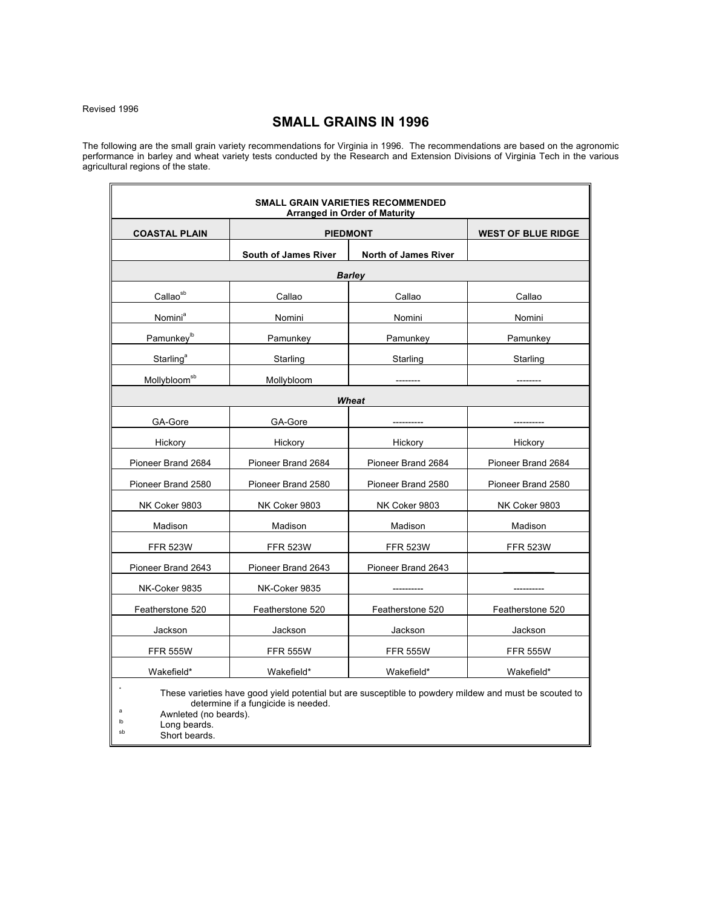Revised 1996

# **SMALL GRAINS IN 1996**

The following are the small grain variety recommendations for Virginia in 1996. The recommendations are based on the agronomic performance in barley and wheat variety tests conducted by the Research and Extension Divisions of Virginia Tech in the various agricultural regions of the state.

| <b>SMALL GRAIN VARIETIES RECOMMENDED</b><br><b>Arranged in Order of Maturity</b>                                                                                                                                         |                             |                             |                           |
|--------------------------------------------------------------------------------------------------------------------------------------------------------------------------------------------------------------------------|-----------------------------|-----------------------------|---------------------------|
| <b>COASTAL PLAIN</b>                                                                                                                                                                                                     | <b>PIEDMONT</b>             |                             | <b>WEST OF BLUE RIDGE</b> |
|                                                                                                                                                                                                                          | <b>South of James River</b> | <b>North of James River</b> |                           |
| <b>Barley</b>                                                                                                                                                                                                            |                             |                             |                           |
| Callaosb                                                                                                                                                                                                                 | Callao                      | Callao                      | Callao                    |
| Nomini <sup>a</sup>                                                                                                                                                                                                      | Nomini                      | Nomini                      | Nomini                    |
| Pamunkey <sup>lb</sup>                                                                                                                                                                                                   | Pamunkey                    | Pamunkey                    | Pamunkey                  |
| Starling <sup>a</sup>                                                                                                                                                                                                    | Starling                    | Starling                    | Starling                  |
| Mollybloom <sup>sb</sup>                                                                                                                                                                                                 | Mollybloom                  |                             |                           |
| Wheat                                                                                                                                                                                                                    |                             |                             |                           |
| GA-Gore                                                                                                                                                                                                                  | GA-Gore                     |                             |                           |
| Hickory                                                                                                                                                                                                                  | Hickory                     | Hickory                     | Hickory                   |
| Pioneer Brand 2684                                                                                                                                                                                                       | Pioneer Brand 2684          | Pioneer Brand 2684          | Pioneer Brand 2684        |
| Pioneer Brand 2580                                                                                                                                                                                                       | Pioneer Brand 2580          | Pioneer Brand 2580          | Pioneer Brand 2580        |
| NK Coker 9803                                                                                                                                                                                                            | NK Coker 9803               | NK Coker 9803               | NK Coker 9803             |
| Madison                                                                                                                                                                                                                  | Madison                     | Madison                     | Madison                   |
| <b>FFR 523W</b>                                                                                                                                                                                                          | <b>FFR 523W</b>             | <b>FFR 523W</b>             | <b>FFR 523W</b>           |
| Pioneer Brand 2643                                                                                                                                                                                                       | Pioneer Brand 2643          | Pioneer Brand 2643          |                           |
| NK-Coker 9835                                                                                                                                                                                                            | NK-Coker 9835               |                             |                           |
| Featherstone 520                                                                                                                                                                                                         | Featherstone 520            | Featherstone 520            | Featherstone 520          |
| Jackson                                                                                                                                                                                                                  | Jackson                     | Jackson                     | Jackson                   |
| <b>FFR 555W</b>                                                                                                                                                                                                          | <b>FFR 555W</b>             | <b>FFR 555W</b>             | <b>FFR 555W</b>           |
| Wakefield*                                                                                                                                                                                                               | Wakefield*                  | Wakefield*                  | Wakefield*                |
| These varieties have good yield potential but are susceptible to powdery mildew and must be scouted to<br>determine if a fungicide is needed.<br>a<br>Awnleted (no beards).<br>Ib<br>Long beards.<br>sh<br>Short beards. |                             |                             |                           |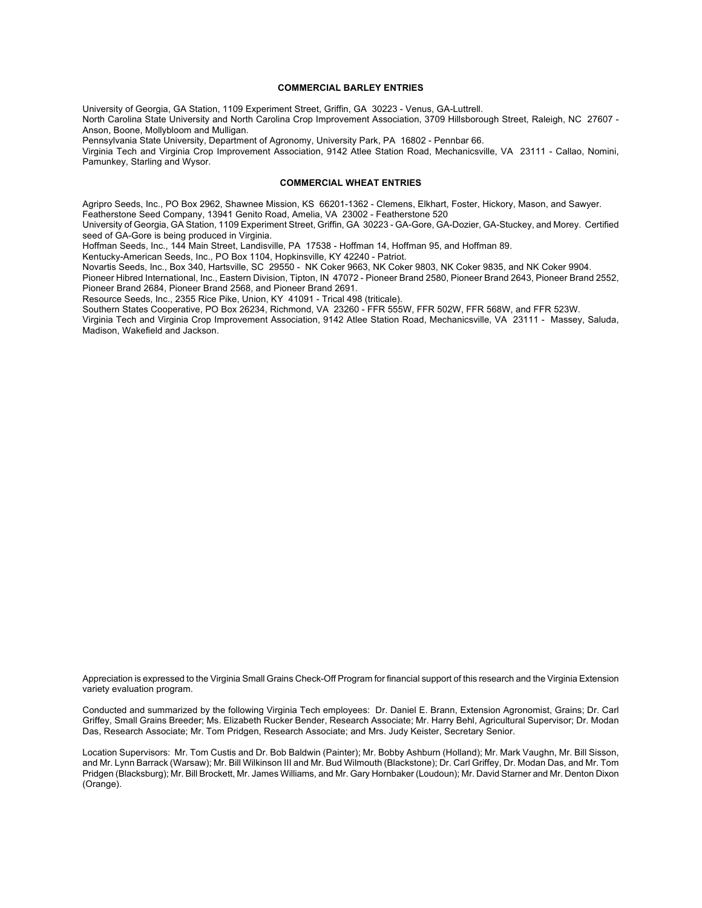## **COMMERCIAL BARLEY ENTRIES**

University of Georgia, GA Station, 1109 Experiment Street, Griffin, GA 30223 - Venus, GA-Luttrell. North Carolina State University and North Carolina Crop Improvement Association, 3709 Hillsborough Street, Raleigh, NC 27607 - Anson, Boone, Mollybloom and Mulligan.

Pennsylvania State University, Department of Agronomy, University Park, PA 16802 - Pennbar 66.

Virginia Tech and Virginia Crop Improvement Association, 9142 Atlee Station Road, Mechanicsville, VA 23111 - Callao, Nomini, Pamunkey, Starling and Wysor.

## **COMMERCIAL WHEAT ENTRIES**

Agripro Seeds, Inc., PO Box 2962, Shawnee Mission, KS 66201-1362 - Clemens, Elkhart, Foster, Hickory, Mason, and Sawyer. Featherstone Seed Company, 13941 Genito Road, Amelia, VA 23002 - Featherstone 520

University of Georgia, GA Station, 1109 Experiment Street, Griffin, GA 30223 - GA-Gore, GA-Dozier, GA-Stuckey, and Morey. Certified seed of GA-Gore is being produced in Virginia.

Hoffman Seeds, Inc., 144 Main Street, Landisville, PA 17538 - Hoffman 14, Hoffman 95, and Hoffman 89.

Kentucky-American Seeds, Inc., PO Box 1104, Hopkinsville, KY 42240 - Patriot.

Novartis Seeds, Inc., Box 340, Hartsville, SC 29550 - NK Coker 9663, NK Coker 9803, NK Coker 9835, and NK Coker 9904.

Pioneer Hibred International, Inc., Eastern Division, Tipton, IN 47072 - Pioneer Brand 2580, Pioneer Brand 2643, Pioneer Brand 2552, Pioneer Brand 2684, Pioneer Brand 2568, and Pioneer Brand 2691.

Resource Seeds, Inc., 2355 Rice Pike, Union, KY 41091 - Trical 498 (triticale).

Southern States Cooperative, PO Box 26234, Richmond, VA 23260 - FFR 555W, FFR 502W, FFR 568W, and FFR 523W.

Virginia Tech and Virginia Crop Improvement Association, 9142 Atlee Station Road, Mechanicsville, VA 23111 - Massey, Saluda, Madison, Wakefield and Jackson.

Appreciation is expressed to the Virginia Small Grains Check-Off Program for financial support of this research and the Virginia Extension variety evaluation program.

Conducted and summarized by the following Virginia Tech employees: Dr. Daniel E. Brann, Extension Agronomist, Grains; Dr. Carl Griffey, Small Grains Breeder; Ms. Elizabeth Rucker Bender, Research Associate; Mr. Harry Behl, Agricultural Supervisor; Dr. Modan Das, Research Associate; Mr. Tom Pridgen, Research Associate; and Mrs. Judy Keister, Secretary Senior.

Location Supervisors: Mr. Tom Custis and Dr. Bob Baldwin (Painter); Mr. Bobby Ashburn (Holland); Mr. Mark Vaughn, Mr. Bill Sisson, and Mr. Lynn Barrack (Warsaw); Mr. Bill Wilkinson III and Mr. Bud Wilmouth (Blackstone); Dr. Carl Griffey, Dr. Modan Das, and Mr. Tom Pridgen (Blacksburg); Mr. Bill Brockett, Mr. James Williams, and Mr. Gary Hornbaker (Loudoun); Mr. David Starner and Mr. Denton Dixon (Orange).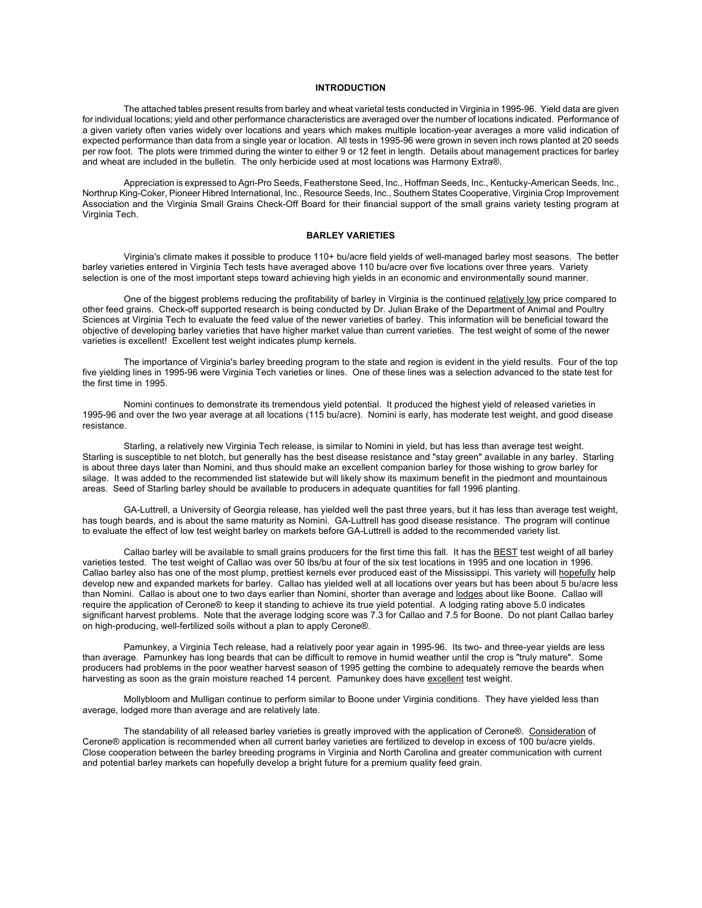## **INTRODUCTION**

The attached tables present results from barley and wheat varietal tests conducted in Virginia in 1995-96. Yield data are given for individual locations; yield and other performance characteristics are averaged over the number of locations indicated. Performance of a given variety often varies widely over locations and years which makes multiple location-year averages a more valid indication of expected performance than data from a single year or location. All tests in 1995-96 were grown in seven inch rows planted at 20 seeds per row foot. The plots were trimmed during the winter to either 9 or 12 feet in length. Details about management practices for barley and wheat are included in the bulletin. The only herbicide used at most locations was Harmony Extra®.

Appreciation is expressed to Agri-Pro Seeds, Featherstone Seed, Inc., Hoffman Seeds, Inc., Kentucky-American Seeds, Inc., Northrup King-Coker, Pioneer Hibred International, Inc., Resource Seeds, Inc., Southern States Cooperative, Virginia Crop Improvement Association and the Virginia Small Grains Check-Off Board for their financial support of the small grains variety testing program at Virginia Tech.

## **BARLEY VARIETIES**

Virginia's climate makes it possible to produce 110+ bu/acre field yields of well-managed barley most seasons. The better barley varieties entered in Virginia Tech tests have averaged above 110 bu/acre over five locations over three years. Variety selection is one of the most important steps toward achieving high yields in an economic and environmentally sound manner.

One of the biggest problems reducing the profitability of barley in Virginia is the continued relatively low price compared to other feed grains. Check-off supported research is being conducted by Dr. Julian Brake of the Department of Animal and Poultry Sciences at Virginia Tech to evaluate the feed value of the newer varieties of barley. This information will be beneficial toward the objective of developing barley varieties that have higher market value than current varieties. The test weight of some of the newer varieties is excellent! Excellent test weight indicates plump kernels.

The importance of Virginia's barley breeding program to the state and region is evident in the yield results. Four of the top five yielding lines in 1995-96 were Virginia Tech varieties or lines. One of these lines was a selection advanced to the state test for the first time in 1995.

Nomini continues to demonstrate its tremendous yield potential. It produced the highest yield of released varieties in 1995-96 and over the two year average at all locations (115 bu/acre). Nomini is early, has moderate test weight, and good disease resistance.

Starling, a relatively new Virginia Tech release, is similar to Nomini in yield, but has less than average test weight. Starling is susceptible to net blotch, but generally has the best disease resistance and "stay green" available in any barley. Starling is about three days later than Nomini, and thus should make an excellent companion barley for those wishing to grow barley for silage. It was added to the recommended list statewide but will likely show its maximum benefit in the piedmont and mountainous areas. Seed of Starling barley should be available to producers in adequate quantities for fall 1996 planting.

GA-Luttrell, a University of Georgia release, has yielded well the past three years, but it has less than average test weight, has tough beards, and is about the same maturity as Nomini. GA-Luttrell has good disease resistance. The program will continue to evaluate the effect of low test weight barley on markets before GA-Luttrell is added to the recommended variety list.

Callao barley will be available to small grains producers for the first time this fall. It has the **BEST** test weight of all barley varieties tested. The test weight of Callao was over 50 lbs/bu at four of the six test locations in 1995 and one location in 1996. Callao barley also has one of the most plump, prettiest kernels ever produced east of the Mississippi. This variety will hopefully help develop new and expanded markets for barley. Callao has yielded well at all locations over years but has been about 5 bu/acre less than Nomini. Callao is about one to two days earlier than Nomini, shorter than average and lodges about like Boone. Callao will require the application of Cerone® to keep it standing to achieve its true yield potential. A lodging rating above 5.0 indicates significant harvest problems. Note that the average lodging score was 7.3 for Callao and 7.5 for Boone. Do not plant Callao barley on high-producing, well-fertilized soils without a plan to apply Cerone®.

Pamunkey, a Virginia Tech release, had a relatively poor year again in 1995-96. Its two- and three-year yields are less than average. Pamunkey has long beards that can be difficult to remove in humid weather until the crop is "truly mature". Some producers had problems in the poor weather harvest season of 1995 getting the combine to adequately remove the beards when harvesting as soon as the grain moisture reached 14 percent. Pamunkey does have excellent test weight.

Mollybloom and Mulligan continue to perform similar to Boone under Virginia conditions. They have yielded less than average, lodged more than average and are relatively late.

The standability of all released barley varieties is greatly improved with the application of Cerone®. Consideration of Cerone® application is recommended when all current barley varieties are fertilized to develop in excess of 100 bu/acre yields. Close cooperation between the barley breeding programs in Virginia and North Carolina and greater communication with current and potential barley markets can hopefully develop a bright future for a premium quality feed grain.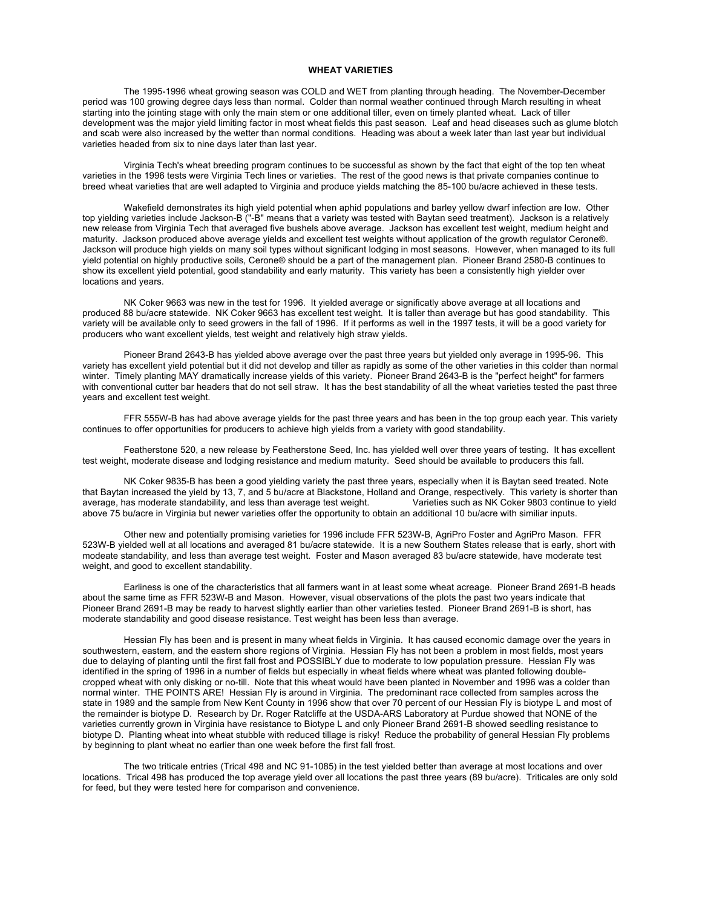# **WHEAT VARIETIES**

The 1995-1996 wheat growing season was COLD and WET from planting through heading. The November-December period was 100 growing degree days less than normal. Colder than normal weather continued through March resulting in wheat starting into the jointing stage with only the main stem or one additional tiller, even on timely planted wheat. Lack of tiller development was the major yield limiting factor in most wheat fields this past season. Leaf and head diseases such as glume blotch and scab were also increased by the wetter than normal conditions. Heading was about a week later than last year but individual varieties headed from six to nine days later than last year.

Virginia Tech's wheat breeding program continues to be successful as shown by the fact that eight of the top ten wheat varieties in the 1996 tests were Virginia Tech lines or varieties. The rest of the good news is that private companies continue to breed wheat varieties that are well adapted to Virginia and produce yields matching the 85-100 bu/acre achieved in these tests.

Wakefield demonstrates its high yield potential when aphid populations and barley yellow dwarf infection are low. Other top yielding varieties include Jackson-B ("-B" means that a variety was tested with Baytan seed treatment). Jackson is a relatively new release from Virginia Tech that averaged five bushels above average. Jackson has excellent test weight, medium height and maturity. Jackson produced above average yields and excellent test weights without application of the growth regulator Cerone®. Jackson will produce high yields on many soil types without significant lodging in most seasons. However, when managed to its full yield potential on highly productive soils, Cerone® should be a part of the management plan. Pioneer Brand 2580-B continues to show its excellent yield potential, good standability and early maturity. This variety has been a consistently high yielder over locations and years.

NK Coker 9663 was new in the test for 1996. It yielded average or significatly above average at all locations and produced 88 bu/acre statewide. NK Coker 9663 has excellent test weight. It is taller than average but has good standability. This variety will be available only to seed growers in the fall of 1996. If it performs as well in the 1997 tests, it will be a good variety for producers who want excellent yields, test weight and relatively high straw yields.

Pioneer Brand 2643-B has yielded above average over the past three years but yielded only average in 1995-96. This variety has excellent yield potential but it did not develop and tiller as rapidly as some of the other varieties in this colder than normal winter. Timely planting MAY dramatically increase yields of this variety. Pioneer Brand 2643-B is the "perfect height" for farmers with conventional cutter bar headers that do not sell straw. It has the best standability of all the wheat varieties tested the past three years and excellent test weight.

FFR 555W-B has had above average yields for the past three years and has been in the top group each year. This variety continues to offer opportunities for producers to achieve high yields from a variety with good standability.

Featherstone 520, a new release by Featherstone Seed, Inc. has yielded well over three years of testing. It has excellent test weight, moderate disease and lodging resistance and medium maturity. Seed should be available to producers this fall.

NK Coker 9835-B has been a good yielding variety the past three years, especially when it is Baytan seed treated. Note that Baytan increased the yield by 13, 7, and 5 bu/acre at Blackstone, Holland and Orange, respectively. This variety is shorter than average to a verage test weight. Varieties such as NK Coker 9803 continue to yield average, has moderate standability, and less than average test weight. above 75 bu/acre in Virginia but newer varieties offer the opportunity to obtain an additional 10 bu/acre with similiar inputs.

Other new and potentially promising varieties for 1996 include FFR 523W-B, AgriPro Foster and AgriPro Mason. FFR 523W-B yielded well at all locations and averaged 81 bu/acre statewide. It is a new Southern States release that is early, short with modeate standability, and less than average test weight. Foster and Mason averaged 83 bu/acre statewide, have moderate test weight, and good to excellent standability.

Earliness is one of the characteristics that all farmers want in at least some wheat acreage. Pioneer Brand 2691-B heads about the same time as FFR 523W-B and Mason. However, visual observations of the plots the past two years indicate that Pioneer Brand 2691-B may be ready to harvest slightly earlier than other varieties tested. Pioneer Brand 2691-B is short, has moderate standability and good disease resistance. Test weight has been less than average.

Hessian Fly has been and is present in many wheat fields in Virginia. It has caused economic damage over the years in southwestern, eastern, and the eastern shore regions of Virginia. Hessian Fly has not been a problem in most fields, most years due to delaying of planting until the first fall frost and POSSIBLY due to moderate to low population pressure. Hessian Fly was identified in the spring of 1996 in a number of fields but especially in wheat fields where wheat was planted following doublecropped wheat with only disking or no-till. Note that this wheat would have been planted in November and 1996 was a colder than normal winter. THE POINTS ARE! Hessian Fly is around in Virginia. The predominant race collected from samples across the state in 1989 and the sample from New Kent County in 1996 show that over 70 percent of our Hessian Fly is biotype L and most of the remainder is biotype D. Research by Dr. Roger Ratcliffe at the USDA-ARS Laboratory at Purdue showed that NONE of the varieties currently grown in Virginia have resistance to Biotype L and only Pioneer Brand 2691-B showed seedling resistance to biotype D. Planting wheat into wheat stubble with reduced tillage is risky! Reduce the probability of general Hessian Fly problems by beginning to plant wheat no earlier than one week before the first fall frost.

The two triticale entries (Trical 498 and NC 91-1085) in the test yielded better than average at most locations and over locations. Trical 498 has produced the top average yield over all locations the past three years (89 bu/acre). Triticales are only sold for feed, but they were tested here for comparison and convenience.